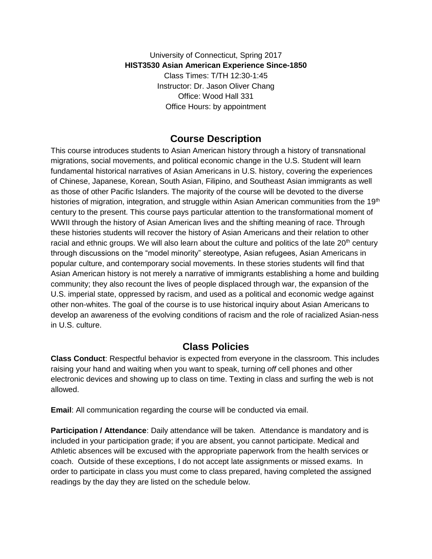University of Connecticut, Spring 2017 **HIST3530 Asian American Experience Since-1850** Class Times: T/TH 12:30-1:45 Instructor: Dr. Jason Oliver Chang Office: Wood Hall 331 Office Hours: by appointment

## **Course Description**

This course introduces students to Asian American history through a history of transnational migrations, social movements, and political economic change in the U.S. Student will learn fundamental historical narratives of Asian Americans in U.S. history, covering the experiences of Chinese, Japanese, Korean, South Asian, Filipino, and Southeast Asian immigrants as well as those of other Pacific Islanders. The majority of the course will be devoted to the diverse histories of migration, integration, and struggle within Asian American communities from the 19<sup>th</sup> century to the present. This course pays particular attention to the transformational moment of WWII through the history of Asian American lives and the shifting meaning of race. Through these histories students will recover the history of Asian Americans and their relation to other racial and ethnic groups. We will also learn about the culture and politics of the late  $20<sup>th</sup>$  century through discussions on the "model minority" stereotype, Asian refugees, Asian Americans in popular culture, and contemporary social movements. In these stories students will find that Asian American history is not merely a narrative of immigrants establishing a home and building community; they also recount the lives of people displaced through war, the expansion of the U.S. imperial state, oppressed by racism, and used as a political and economic wedge against other non-whites. The goal of the course is to use historical inquiry about Asian Americans to develop an awareness of the evolving conditions of racism and the role of racialized Asian-ness in U.S. culture.

## **Class Policies**

**Class Conduct**: Respectful behavior is expected from everyone in the classroom. This includes raising your hand and waiting when you want to speak, turning *off* cell phones and other electronic devices and showing up to class on time. Texting in class and surfing the web is not allowed.

**Email**: All communication regarding the course will be conducted via email.

**Participation / Attendance**: Daily attendance will be taken. Attendance is mandatory and is included in your participation grade; if you are absent, you cannot participate. Medical and Athletic absences will be excused with the appropriate paperwork from the health services or coach. Outside of these exceptions, I do not accept late assignments or missed exams. In order to participate in class you must come to class prepared, having completed the assigned readings by the day they are listed on the schedule below.